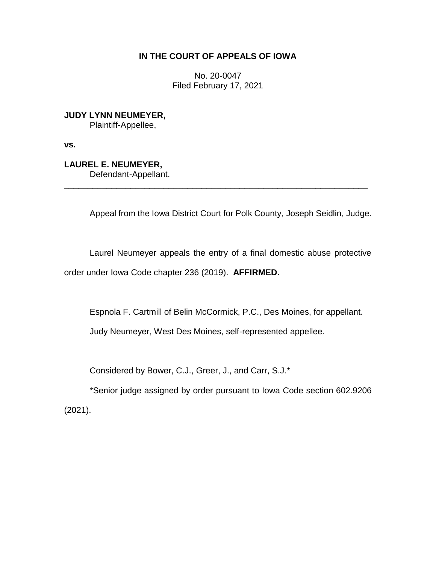## **IN THE COURT OF APPEALS OF IOWA**

No. 20-0047 Filed February 17, 2021

**JUDY LYNN NEUMEYER,** Plaintiff-Appellee,

**vs.**

**LAUREL E. NEUMEYER,**

Defendant-Appellant.

Appeal from the Iowa District Court for Polk County, Joseph Seidlin, Judge.

Laurel Neumeyer appeals the entry of a final domestic abuse protective order under Iowa Code chapter 236 (2019). **AFFIRMED.**

\_\_\_\_\_\_\_\_\_\_\_\_\_\_\_\_\_\_\_\_\_\_\_\_\_\_\_\_\_\_\_\_\_\_\_\_\_\_\_\_\_\_\_\_\_\_\_\_\_\_\_\_\_\_\_\_\_\_\_\_\_\_\_\_

Espnola F. Cartmill of Belin McCormick, P.C., Des Moines, for appellant.

Judy Neumeyer, West Des Moines, self-represented appellee.

Considered by Bower, C.J., Greer, J., and Carr, S.J.\*

\*Senior judge assigned by order pursuant to Iowa Code section 602.9206 (2021).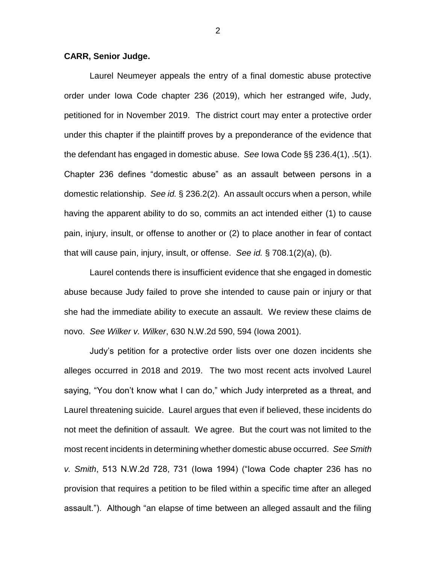## **CARR, Senior Judge.**

Laurel Neumeyer appeals the entry of a final domestic abuse protective order under Iowa Code chapter 236 (2019), which her estranged wife, Judy, petitioned for in November 2019. The district court may enter a protective order under this chapter if the plaintiff proves by a preponderance of the evidence that the defendant has engaged in domestic abuse. *See* Iowa Code §§ 236.4(1), .5(1). Chapter 236 defines "domestic abuse" as an assault between persons in a domestic relationship. *See id.* § 236.2(2). An assault occurs when a person, while having the apparent ability to do so, commits an act intended either (1) to cause pain, injury, insult, or offense to another or (2) to place another in fear of contact that will cause pain, injury, insult, or offense. *See id.* § 708.1(2)(a), (b).

Laurel contends there is insufficient evidence that she engaged in domestic abuse because Judy failed to prove she intended to cause pain or injury or that she had the immediate ability to execute an assault. We review these claims de novo. *See Wilker v. Wilker*, 630 N.W.2d 590, 594 (Iowa 2001).

Judy's petition for a protective order lists over one dozen incidents she alleges occurred in 2018 and 2019. The two most recent acts involved Laurel saying, "You don't know what I can do," which Judy interpreted as a threat, and Laurel threatening suicide. Laurel argues that even if believed, these incidents do not meet the definition of assault. We agree. But the court was not limited to the most recent incidents in determining whether domestic abuse occurred. *See Smith v. Smith*, 513 N.W.2d 728, 731 (Iowa 1994) ("Iowa Code chapter 236 has no provision that requires a petition to be filed within a specific time after an alleged assault."). Although "an elapse of time between an alleged assault and the filing